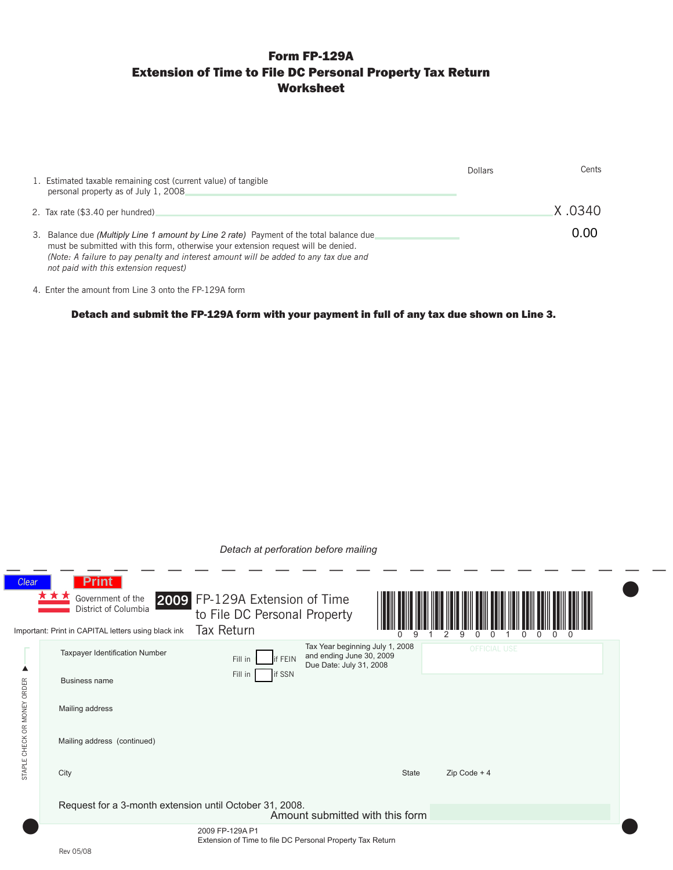# Form FP-129A Extension of Time to File DC Personal Property Tax Return Worksheet

| 1. Estimated taxable remaining cost (current value) of tangible<br>personal property as of July 1, 2008.                                                                                                                                                                                                       | Dollars | Cents    |
|----------------------------------------------------------------------------------------------------------------------------------------------------------------------------------------------------------------------------------------------------------------------------------------------------------------|---------|----------|
| 2. Tax rate (\$3.40 per hundred)                                                                                                                                                                                                                                                                               |         | .X .0340 |
| 3. Balance due (Multiply Line 1 amount by Line 2 rate) Payment of the total balance due<br>must be submitted with this form, otherwise your extension request will be denied.<br>(Note: A failure to pay penalty and interest amount will be added to any tax due and<br>not paid with this extension request) |         | 0.00     |

4. Enter the amount from Line 3 onto the FP-129A form

Detach and submit the FP-129A form with your payment in full of any tax due shown on Line 3.

| Detach at perforation before mailing                                         |                                                                                                                  |                                                                              |                                                                                        |                     |  |  |  |
|------------------------------------------------------------------------------|------------------------------------------------------------------------------------------------------------------|------------------------------------------------------------------------------|----------------------------------------------------------------------------------------|---------------------|--|--|--|
| <b>Clear</b>                                                                 | <b>Print</b><br>Government of the<br>District of Columbia<br>Important: Print in CAPITAL letters using black ink | 2009 FP-129A Extension of Time<br>to File DC Personal Property<br>Tax Return |                                                                                        |                     |  |  |  |
|                                                                              | Taxpayer Identification Number<br><b>Business name</b>                                                           | Fill in<br>if FEIN<br>if SSN<br>Fill in                                      | Tax Year beginning July 1, 2008<br>and ending June 30, 2009<br>Due Date: July 31, 2008 | <b>OFFICIAL USE</b> |  |  |  |
| STAPLE CHECK OR MONEY ORDER                                                  | Mailing address                                                                                                  |                                                                              |                                                                                        |                     |  |  |  |
|                                                                              | Mailing address (continued)                                                                                      |                                                                              |                                                                                        |                     |  |  |  |
|                                                                              | City                                                                                                             |                                                                              | <b>State</b>                                                                           | $Zip Code + 4$      |  |  |  |
|                                                                              | Request for a 3-month extension until October 31, 2008.                                                          |                                                                              | Amount submitted with this form                                                        |                     |  |  |  |
| 2009 FP-129A P1<br>Extension of Time to file DC Personal Property Tax Return |                                                                                                                  |                                                                              |                                                                                        |                     |  |  |  |